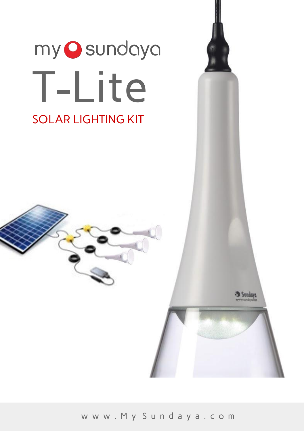

www.MySundaya.com